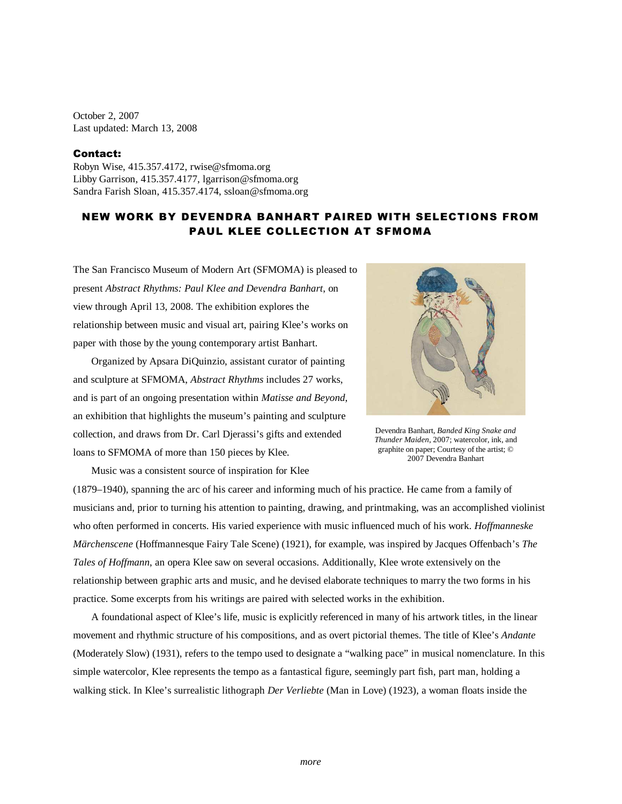October 2, 2007 Last updated: March 13, 2008

## Contact:

Robyn Wise, 415.357.4172, rwise@sfmoma.org Libby Garrison, 415.357.4177, lgarrison@sfmoma.org Sandra Farish Sloan, 415.357.4174, ssloan@sfmoma.org

## NEW WORK BY DEVENDRA BANHART PAIRED WITH SELECTIONS FROM PAUL KLEE COLLECTION AT SFMOMA

The San Francisco Museum of Modern Art (SFMOMA) is pleased to present *Abstract Rhythms: Paul Klee and Devendra Banhart*, on view through April 13, 2008. The exhibition explores the relationship between music and visual art, pairing Klee's works on paper with those by the young contemporary artist Banhart.

 Organized by Apsara DiQuinzio, assistant curator of painting and sculpture at SFMOMA, *Abstract Rhythms* includes 27 works, and is part of an ongoing presentation within *Matisse and Beyond*, an exhibition that highlights the museum's painting and sculpture collection, and draws from Dr. Carl Djerassi's gifts and extended loans to SFMOMA of more than 150 pieces by Klee.



Devendra Banhart, *Banded King Snake and Thunder Maiden*, 2007; watercolor, ink, and graphite on paper; Courtesy of the artist; © 2007 Devendra Banhart

Music was a consistent source of inspiration for Klee

(1879–1940), spanning the arc of his career and informing much of his practice. He came from a family of musicians and, prior to turning his attention to painting, drawing, and printmaking, was an accomplished violinist who often performed in concerts. His varied experience with music influenced much of his work. *Hoffmanneske Märchenscene* (Hoffmannesque Fairy Tale Scene) (1921), for example, was inspired by Jacques Offenbach's *The Tales of Hoffmann*, an opera Klee saw on several occasions. Additionally, Klee wrote extensively on the relationship between graphic arts and music, and he devised elaborate techniques to marry the two forms in his practice. Some excerpts from his writings are paired with selected works in the exhibition.

 A foundational aspect of Klee's life, music is explicitly referenced in many of his artwork titles, in the linear movement and rhythmic structure of his compositions, and as overt pictorial themes. The title of Klee's *Andante*  (Moderately Slow) (1931), refers to the tempo used to designate a "walking pace" in musical nomenclature. In this simple watercolor, Klee represents the tempo as a fantastical figure, seemingly part fish, part man, holding a walking stick. In Klee's surrealistic lithograph *Der Verliebte* (Man in Love) (1923), a woman floats inside the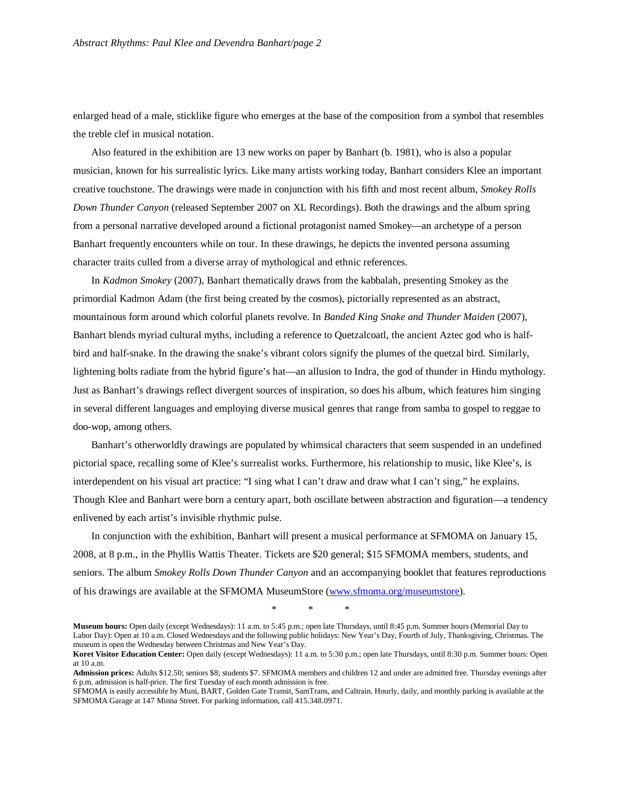enlarged head of a male, sticklike figure who emerges at the base of the composition from a symbol that resembles the treble clef in musical notation.

Also featured in the exhibition are 13 new works on paper by Banhart (b. 1981), who is also a popular musician, known for his surrealistic lyrics. Like many artists working today, Banhart considers Klee an important creative touchstone. The drawings were made in conjunction with his fifth and most recent album, *Smokey Rolls Down Thunder Canyon* (released September 2007 on XL Recordings). Both the drawings and the album spring from a personal narrative developed around a fictional protagonist named Smokey—an archetype of a person Banhart frequently encounters while on tour. In these drawings, he depicts the invented persona assuming character traits culled from a diverse array of mythological and ethnic references.

In *Kadmon Smokey* (2007), Banhart thematically draws from the kabbalah, presenting Smokey as the primordial Kadmon Adam (the first being created by the cosmos), pictorially represented as an abstract, mountainous form around which colorful planets revolve. In *Banded King Snake and Thunder Maiden* (2007), Banhart blends myriad cultural myths, including a reference to Quetzalcoatl, the ancient Aztec god who is halfbird and half-snake. In the drawing the snake's vibrant colors signify the plumes of the quetzal bird. Similarly, lightening bolts radiate from the hybrid figure's hat—an allusion to Indra, the god of thunder in Hindu mythology. Just as Banhart's drawings reflect divergent sources of inspiration, so does his album, which features him singing in several different languages and employing diverse musical genres that range from samba to gospel to reggae to doo-wop, among others.

Banhart's otherworldly drawings are populated by whimsical characters that seem suspended in an undefined pictorial space, recalling some of Klee's surrealist works. Furthermore, his relationship to music, like Klee's, is interdependent on his visual art practice: "I sing what I can't draw and draw what I can't sing," he explains. Though Klee and Banhart were born a century apart, both oscillate between abstraction and figuration—a tendency enlivened by each artist's invisible rhythmic pulse.

In conjunction with the exhibition, Banhart will present a musical performance at SFMOMA on January 15, 2008, at 8 p.m., in the Phyllis Wattis Theater. Tickets are \$20 general; \$15 SFMOMA members, students, and seniors. The album *Smokey Rolls Down Thunder Canyon* and an accompanying booklet that features reproductions of his drawings are available at the SFMOMA MuseumStore (www.sfmoma.org/museumstore).

\* \* \*

**Museum hours:** Open daily (except Wednesdays): 11 a.m. to 5:45 p.m.; open late Thursdays, until 8:45 p.m. Summer hours (Memorial Day to Labor Day): Open at 10 a.m. Closed Wednesdays and the following public holidays: New Year's Day, Fourth of July, Thanksgiving, Christmas. The museum is open the Wednesday between Christmas and New Year's Day.

**Koret Visitor Education Center:** Open daily (except Wednesdays): 11 a.m. to 5:30 p.m.; open late Thursdays, until 8:30 p.m. Summer hours: Open at 10 a.m.

**Admission prices:** Adults \$12.50; seniors \$8; students \$7. SFMOMA members and children 12 and under are admitted free. Thursday evenings after 6 p.m. admission is half-price. The first Tuesday of each month admission is free.

SFMOMA is easily accessible by Muni, BART, Golden Gate Transit, SamTrans, and Caltrain. Hourly, daily, and monthly parking is available at the SFMOMA Garage at 147 Minna Street. For parking information, call 415.348.0971.